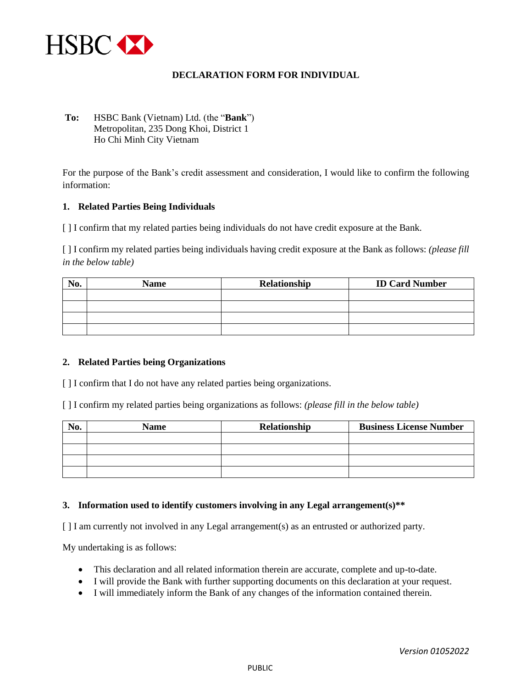

## **DECLARATION FORM FOR INDIVIDUAL**

**To:** HSBC Bank (Vietnam) Ltd. (the "**Bank**") Metropolitan, 235 Dong Khoi, District 1 Ho Chi Minh City Vietnam

For the purpose of the Bank's credit assessment and consideration, I would like to confirm the following information:

### **1. Related Parties Being Individuals**

[ ] I confirm that my related parties being individuals do not have credit exposure at the Bank.

[ ] I confirm my related parties being individuals having credit exposure at the Bank as follows: *(please fill in the below table)*

| No. | <b>Name</b> | Relationship | <b>ID Card Number</b> |
|-----|-------------|--------------|-----------------------|
|     |             |              |                       |
|     |             |              |                       |
|     |             |              |                       |
|     |             |              |                       |

### **2. Related Parties being Organizations**

[ ] I confirm that I do not have any related parties being organizations.

[ ] I confirm my related parties being organizations as follows: *(please fill in the below table)*

| No. | <b>Name</b> | Relationship | <b>Business License Number</b> |
|-----|-------------|--------------|--------------------------------|
|     |             |              |                                |
|     |             |              |                                |
|     |             |              |                                |
|     |             |              |                                |

### **3. Information used to identify customers involving in any Legal arrangement(s)\*\***

[ ] I am currently not involved in any Legal arrangement(s) as an entrusted or authorized party.

My undertaking is as follows:

- This declaration and all related information therein are accurate, complete and up-to-date.
- I will provide the Bank with further supporting documents on this declaration at your request.
- I will immediately inform the Bank of any changes of the information contained therein.